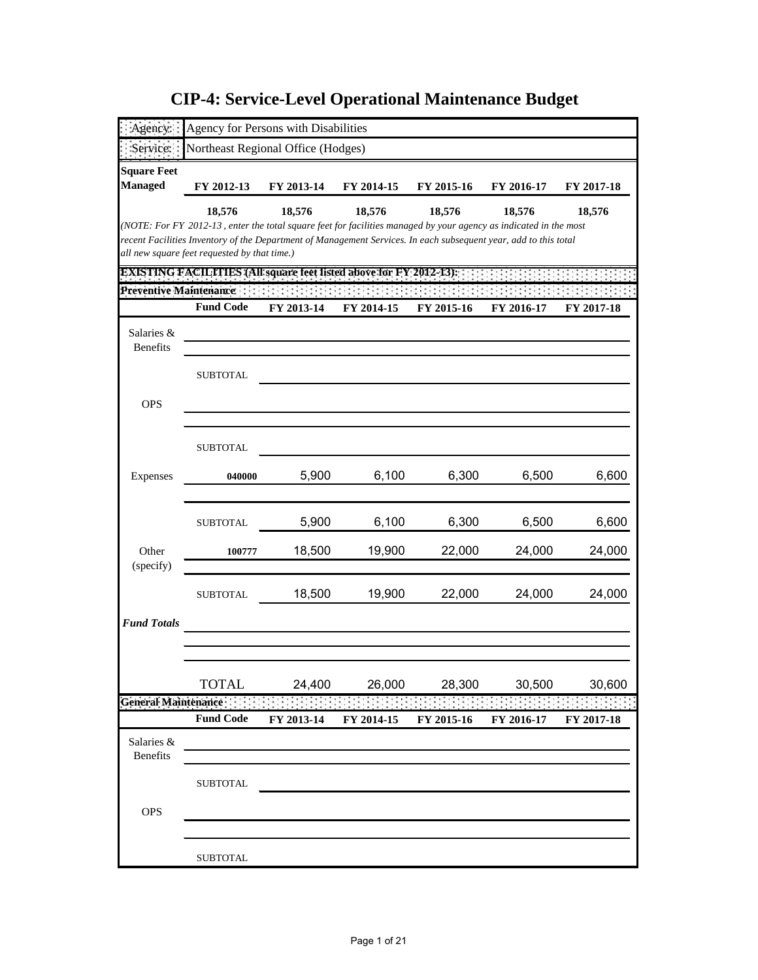|                                      | Agency for Persons with Disabilities                                                                                                                                                                                                  |            |            |            |            |            |
|--------------------------------------|---------------------------------------------------------------------------------------------------------------------------------------------------------------------------------------------------------------------------------------|------------|------------|------------|------------|------------|
|                                      |                                                                                                                                                                                                                                       |            |            |            |            |            |
| Service:                             | Northeast Regional Office (Hodges)                                                                                                                                                                                                    |            |            |            |            |            |
| <b>Square Feet</b><br><b>Managed</b> |                                                                                                                                                                                                                                       |            |            | FY 2015-16 |            |            |
|                                      | FY 2012-13                                                                                                                                                                                                                            | FY 2013-14 | FY 2014-15 |            | FY 2016-17 | FY 2017-18 |
|                                      | 18,576                                                                                                                                                                                                                                | 18,576     | 18,576     | 18,576     | 18,576     | 18,576     |
|                                      | (NOTE: For FY 2012-13, enter the total square feet for facilities managed by your agency as indicated in the most<br>recent Facilities Inventory of the Department of Management Services. In each subsequent year, add to this total |            |            |            |            |            |
|                                      | all new square feet requested by that time.)                                                                                                                                                                                          |            |            |            |            |            |
|                                      | <b>EXISTING FACILITIES (All square feet listed above for FY 2012-13):</b>                                                                                                                                                             |            |            |            |            |            |
| Preventive Maintenance:              |                                                                                                                                                                                                                                       |            |            |            |            |            |
|                                      | <b>Fund Code</b>                                                                                                                                                                                                                      | FY 2013-14 | FY 2014-15 | FY 2015-16 | FY 2016-17 | FY 2017-18 |
| Salaries &                           |                                                                                                                                                                                                                                       |            |            |            |            |            |
| <b>Benefits</b>                      |                                                                                                                                                                                                                                       |            |            |            |            |            |
|                                      | <b>SUBTOTAL</b>                                                                                                                                                                                                                       |            |            |            |            |            |
|                                      |                                                                                                                                                                                                                                       |            |            |            |            |            |
| <b>OPS</b>                           |                                                                                                                                                                                                                                       |            |            |            |            |            |
|                                      |                                                                                                                                                                                                                                       |            |            |            |            |            |
|                                      | <b>SUBTOTAL</b>                                                                                                                                                                                                                       |            |            |            |            |            |
|                                      |                                                                                                                                                                                                                                       |            |            |            |            |            |
| Expenses                             | 040000                                                                                                                                                                                                                                | 5,900      | 6,100      | 6,300      | 6,500      | 6,600      |
|                                      |                                                                                                                                                                                                                                       |            |            |            |            |            |
|                                      | <b>SUBTOTAL</b>                                                                                                                                                                                                                       | 5,900      | 6,100      | 6,300      | 6,500      | 6,600      |
| Other                                |                                                                                                                                                                                                                                       | 18,500     | 19,900     | 22,000     | 24,000     | 24,000     |
| (specify)                            | 100777                                                                                                                                                                                                                                |            |            |            |            |            |
|                                      |                                                                                                                                                                                                                                       |            |            |            |            |            |
|                                      | <b>SUBTOTAL</b>                                                                                                                                                                                                                       | 18,500     | 19,900     | 22,000     | 24,000     | 24,000     |
| <b>Fund Totals</b>                   |                                                                                                                                                                                                                                       |            |            |            |            |            |
|                                      |                                                                                                                                                                                                                                       |            |            |            |            |            |
|                                      |                                                                                                                                                                                                                                       |            |            |            |            |            |
|                                      | <b>TOTAL</b>                                                                                                                                                                                                                          | 24,400     | 26,000     | 28,300     | 30,500     | 30,600     |
| <b>General Maintenance</b>           |                                                                                                                                                                                                                                       |            |            |            |            |            |
|                                      | <b>Fund Code</b>                                                                                                                                                                                                                      | FY 2013-14 | FY 2014-15 | FY 2015-16 | FY 2016-17 | FY 2017-18 |
| Salaries &                           |                                                                                                                                                                                                                                       |            |            |            |            |            |
| <b>Benefits</b>                      |                                                                                                                                                                                                                                       |            |            |            |            |            |
|                                      |                                                                                                                                                                                                                                       |            |            |            |            |            |
|                                      | <b>SUBTOTAL</b>                                                                                                                                                                                                                       |            |            |            |            |            |
| <b>OPS</b>                           |                                                                                                                                                                                                                                       |            |            |            |            |            |
|                                      |                                                                                                                                                                                                                                       |            |            |            |            |            |
|                                      |                                                                                                                                                                                                                                       |            |            |            |            |            |
|                                      | <b>SUBTOTAL</b>                                                                                                                                                                                                                       |            |            |            |            |            |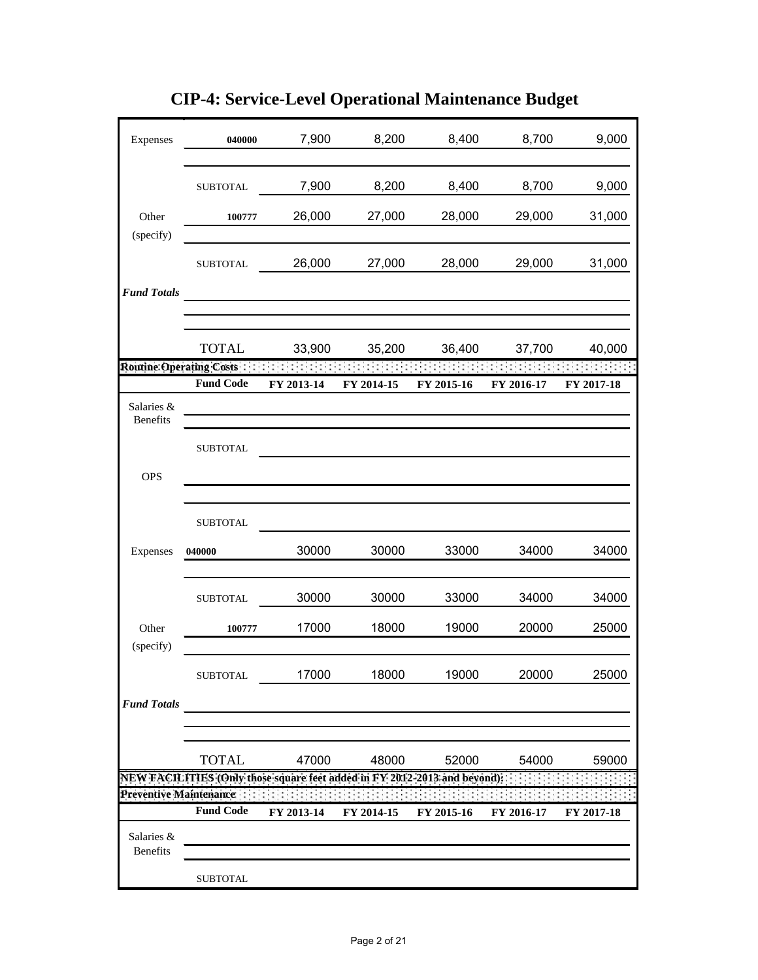| Expenses                      | 040000                                                                    | 7,900      | 8,200      | 8,400      | 8,700      | 9,000      |
|-------------------------------|---------------------------------------------------------------------------|------------|------------|------------|------------|------------|
|                               | <b>SUBTOTAL</b>                                                           | 7,900      | 8,200      | 8,400      | 8,700      | 9,000      |
| Other<br>(specify)            | 100777                                                                    | 26,000     | 27,000     | 28,000     | 29,000     | 31,000     |
|                               | <b>SUBTOTAL</b>                                                           | 26,000     | 27,000     | 28,000     | 29,000     | 31,000     |
| <b>Fund Totals</b>            |                                                                           |            |            |            |            |            |
|                               | <b>TOTAL</b>                                                              | 33,900     | 35,200     | 36,400     | 37,700     | 40,000     |
|                               | Routine Operating Costs                                                   |            |            |            |            |            |
|                               | <b>Fund Code</b>                                                          | FY 2013-14 | FY 2014-15 | FY 2015-16 | FY 2016-17 | FY 2017-18 |
| Salaries &<br><b>Benefits</b> |                                                                           |            |            |            |            |            |
|                               | <b>SUBTOTAL</b>                                                           |            |            |            |            |            |
| <b>OPS</b>                    |                                                                           |            |            |            |            |            |
|                               | <b>SUBTOTAL</b>                                                           |            |            |            |            |            |
| Expenses                      | 040000                                                                    | 30000      | 30000      | 33000      | 34000      | 34000      |
|                               | <b>SUBTOTAL</b>                                                           | 30000      | 30000      | 33000      | 34000      | 34000      |
| Other<br>(specify)            | 100777                                                                    | 17000      | 18000      | 19000      | 20000      | 25000      |
|                               | <b>SUBTOTAL</b>                                                           | 17000      | 18000      | 19000      | 20000      | 25000      |
| <b>Fund Totals</b>            |                                                                           |            |            |            |            |            |
|                               | <b>TOTAL</b>                                                              | 47000      | 48000      | 52000      | 54000      | 59000      |
|                               | NEW FACILITIES (Only those square feet added in FY 2012-2013 and beyond): |            |            |            |            |            |
|                               | Preventive Maintenance                                                    |            |            |            |            |            |
|                               | <b>Fund Code</b>                                                          | FY 2013-14 | FY 2014-15 | FY 2015-16 | FY 2016-17 | FY 2017-18 |
| Salaries &<br>Benefits        |                                                                           |            |            |            |            |            |
|                               | <b>SUBTOTAL</b>                                                           |            |            |            |            |            |

**CIP-4: Service-Level Operational Maintenance Budget**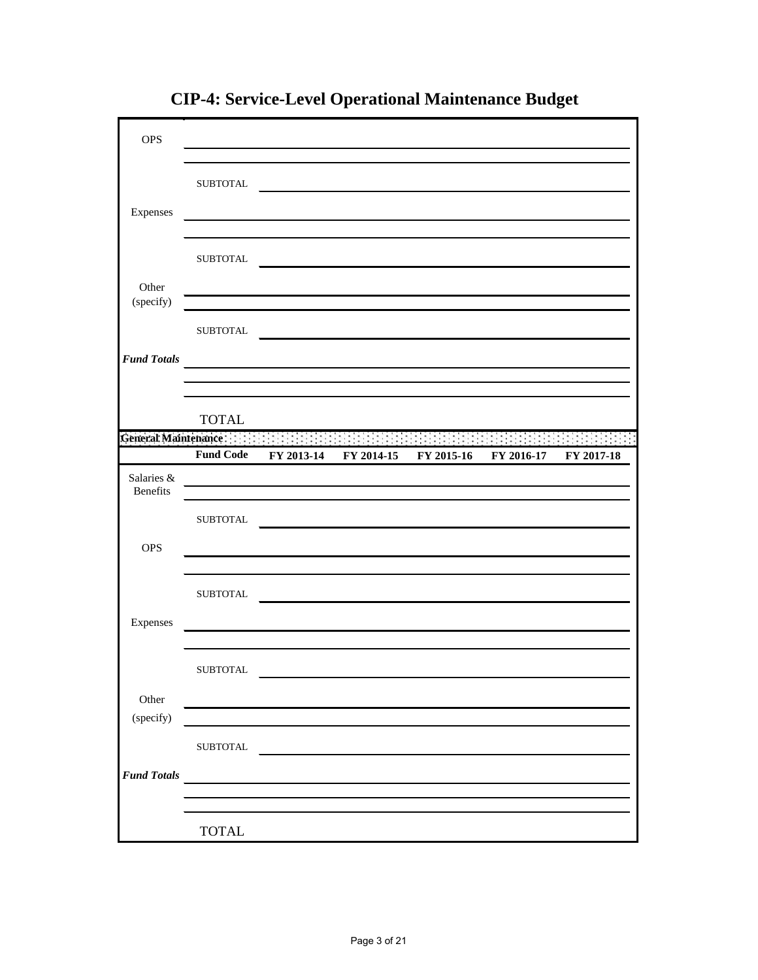| <b>OPS</b>                    |                        |            |            |                                                                                                      |            |                                  |
|-------------------------------|------------------------|------------|------------|------------------------------------------------------------------------------------------------------|------------|----------------------------------|
| Expenses                      | ${\tt SUBTOTAL}$       |            |            |                                                                                                      |            |                                  |
|                               | <b>SUBTOTAL</b>        |            |            |                                                                                                      |            |                                  |
| Other<br>(specify)            | <b>SUBTOTAL</b>        |            |            |                                                                                                      |            |                                  |
| <b>Fund Totals</b>            |                        |            |            |                                                                                                      |            |                                  |
|                               | <b>TOTAL</b>           |            |            |                                                                                                      |            |                                  |
|                               | <b>Fund Code</b>       | FY 2013-14 | FY 2014-15 | General Maintenance and a state of the state of the state of the state of the state of<br>FY 2015-16 | FY 2016-17 | <b>START START</b><br>FY 2017-18 |
| Salaries &<br><b>Benefits</b> |                        |            |            |                                                                                                      |            |                                  |
|                               | <b>SUBTOTAL</b>        |            |            |                                                                                                      |            |                                  |
| <b>OPS</b>                    |                        |            |            |                                                                                                      |            |                                  |
|                               | <b>SUBTOTAL</b>        |            |            |                                                                                                      |            |                                  |
| Expenses                      |                        |            |            |                                                                                                      |            |                                  |
|                               | ${\tt SUBTOTAL}$       |            |            |                                                                                                      |            |                                  |
| Other<br>(specify)            |                        |            |            |                                                                                                      |            |                                  |
| <b>Fund Totals</b>            | ${\tt SUBTOTAL}$       |            |            |                                                                                                      |            |                                  |
|                               |                        |            |            |                                                                                                      |            |                                  |
|                               | $\operatorname{TOTAL}$ |            |            |                                                                                                      |            |                                  |

**CIP-4: Service-Level Operational Maintenance Budget**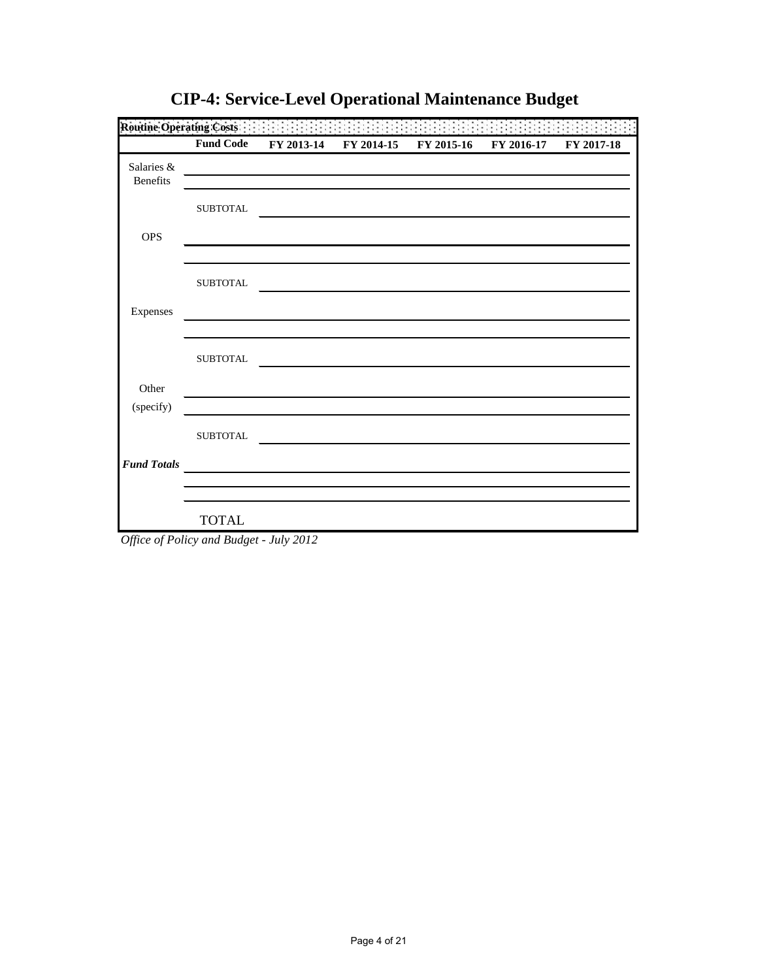|                        | <b>Fund Code</b> | FY 2013-14 | FY 2014-15 | FY 2015-16 | FY 2016-17 | FY 2017-18 |
|------------------------|------------------|------------|------------|------------|------------|------------|
| Salaries &<br>Benefits |                  |            |            |            |            |            |
|                        | <b>SUBTOTAL</b>  |            |            |            |            |            |
| <b>OPS</b>             |                  |            |            |            |            |            |
|                        | <b>SUBTOTAL</b>  |            |            |            |            |            |
| Expenses               |                  |            |            |            |            |            |
|                        | <b>SUBTOTAL</b>  |            |            |            |            |            |
| Other                  |                  |            |            |            |            |            |
| (specify)              |                  |            |            |            |            |            |
|                        | <b>SUBTOTAL</b>  |            |            |            |            |            |
| <b>Fund Totals</b>     |                  |            |            |            |            |            |
|                        |                  |            |            |            |            |            |
|                        | <b>TOTAL</b>     |            |            |            |            |            |

**CIP-4: Service-Level Operational Maintenance Budget**

*Office of Policy and Budget - July 2012*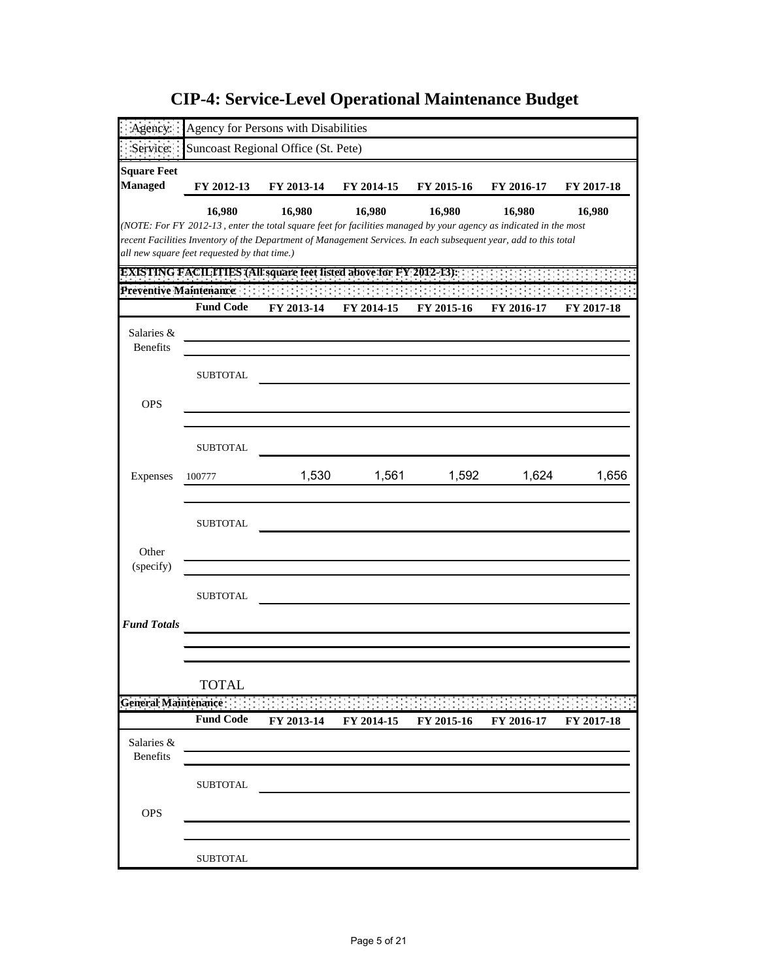| Suncoast Regional Office (St. Pete)<br>Service:<br><b>Managed</b><br>FY 2012-13<br>FY 2013-14<br>FY 2014-15<br>FY 2015-16<br>FY 2016-17<br>FY 2017-18<br>16,980<br>16,980<br>16,980<br>16,980<br>16,980<br>16,980<br>(NOTE: For FY 2012-13, enter the total square feet for facilities managed by your agency as indicated in the most<br>recent Facilities Inventory of the Department of Management Services. In each subsequent year, add to this total<br>all new square feet requested by that time.)<br><b>EXISTING FACILITIES (All square feet listed above for FY 2012-13):</b><br>Preventive Maintenance<br><b>Fund Code</b><br>FY 2013-14<br>FY 2014-15<br>FY 2015-16<br>FY 2016-17<br>FY 2017-18<br>Salaries &<br><b>Benefits</b><br><b>SUBTOTAL</b><br><b>OPS</b><br><b>SUBTOTAL</b><br>1,592<br>1,530<br>1,561<br>1,624<br>Expenses<br>100777<br><b>SUBTOTAL</b><br>Other<br>(specify)<br><b>SUBTOTAL</b><br><b>TOTAL</b><br>General Maintenance:<br><b>Fund Code</b><br>FY 2013-14<br>FY 2014-15<br>FY 2016-17<br>FY 2015-16<br>FY 2017-18<br>Salaries &<br><b>Benefits</b><br><b>SUBTOTAL</b><br><b>OPS</b> | Agency:            |                 | Agency for Persons with Disabilities |  |       |
|----------------------------------------------------------------------------------------------------------------------------------------------------------------------------------------------------------------------------------------------------------------------------------------------------------------------------------------------------------------------------------------------------------------------------------------------------------------------------------------------------------------------------------------------------------------------------------------------------------------------------------------------------------------------------------------------------------------------------------------------------------------------------------------------------------------------------------------------------------------------------------------------------------------------------------------------------------------------------------------------------------------------------------------------------------------------------------------------------------------------------|--------------------|-----------------|--------------------------------------|--|-------|
|                                                                                                                                                                                                                                                                                                                                                                                                                                                                                                                                                                                                                                                                                                                                                                                                                                                                                                                                                                                                                                                                                                                            |                    |                 |                                      |  |       |
|                                                                                                                                                                                                                                                                                                                                                                                                                                                                                                                                                                                                                                                                                                                                                                                                                                                                                                                                                                                                                                                                                                                            | <b>Square Feet</b> |                 |                                      |  |       |
|                                                                                                                                                                                                                                                                                                                                                                                                                                                                                                                                                                                                                                                                                                                                                                                                                                                                                                                                                                                                                                                                                                                            |                    |                 |                                      |  |       |
|                                                                                                                                                                                                                                                                                                                                                                                                                                                                                                                                                                                                                                                                                                                                                                                                                                                                                                                                                                                                                                                                                                                            |                    |                 |                                      |  |       |
|                                                                                                                                                                                                                                                                                                                                                                                                                                                                                                                                                                                                                                                                                                                                                                                                                                                                                                                                                                                                                                                                                                                            |                    |                 |                                      |  |       |
|                                                                                                                                                                                                                                                                                                                                                                                                                                                                                                                                                                                                                                                                                                                                                                                                                                                                                                                                                                                                                                                                                                                            |                    |                 |                                      |  |       |
|                                                                                                                                                                                                                                                                                                                                                                                                                                                                                                                                                                                                                                                                                                                                                                                                                                                                                                                                                                                                                                                                                                                            |                    |                 |                                      |  |       |
|                                                                                                                                                                                                                                                                                                                                                                                                                                                                                                                                                                                                                                                                                                                                                                                                                                                                                                                                                                                                                                                                                                                            |                    |                 |                                      |  |       |
|                                                                                                                                                                                                                                                                                                                                                                                                                                                                                                                                                                                                                                                                                                                                                                                                                                                                                                                                                                                                                                                                                                                            |                    |                 |                                      |  |       |
|                                                                                                                                                                                                                                                                                                                                                                                                                                                                                                                                                                                                                                                                                                                                                                                                                                                                                                                                                                                                                                                                                                                            |                    |                 |                                      |  |       |
|                                                                                                                                                                                                                                                                                                                                                                                                                                                                                                                                                                                                                                                                                                                                                                                                                                                                                                                                                                                                                                                                                                                            |                    |                 |                                      |  |       |
|                                                                                                                                                                                                                                                                                                                                                                                                                                                                                                                                                                                                                                                                                                                                                                                                                                                                                                                                                                                                                                                                                                                            |                    |                 |                                      |  |       |
|                                                                                                                                                                                                                                                                                                                                                                                                                                                                                                                                                                                                                                                                                                                                                                                                                                                                                                                                                                                                                                                                                                                            |                    |                 |                                      |  |       |
|                                                                                                                                                                                                                                                                                                                                                                                                                                                                                                                                                                                                                                                                                                                                                                                                                                                                                                                                                                                                                                                                                                                            |                    |                 |                                      |  |       |
|                                                                                                                                                                                                                                                                                                                                                                                                                                                                                                                                                                                                                                                                                                                                                                                                                                                                                                                                                                                                                                                                                                                            |                    |                 |                                      |  |       |
|                                                                                                                                                                                                                                                                                                                                                                                                                                                                                                                                                                                                                                                                                                                                                                                                                                                                                                                                                                                                                                                                                                                            |                    |                 |                                      |  | 1,656 |
|                                                                                                                                                                                                                                                                                                                                                                                                                                                                                                                                                                                                                                                                                                                                                                                                                                                                                                                                                                                                                                                                                                                            |                    |                 |                                      |  |       |
|                                                                                                                                                                                                                                                                                                                                                                                                                                                                                                                                                                                                                                                                                                                                                                                                                                                                                                                                                                                                                                                                                                                            |                    |                 |                                      |  |       |
|                                                                                                                                                                                                                                                                                                                                                                                                                                                                                                                                                                                                                                                                                                                                                                                                                                                                                                                                                                                                                                                                                                                            |                    |                 |                                      |  |       |
|                                                                                                                                                                                                                                                                                                                                                                                                                                                                                                                                                                                                                                                                                                                                                                                                                                                                                                                                                                                                                                                                                                                            |                    |                 |                                      |  |       |
|                                                                                                                                                                                                                                                                                                                                                                                                                                                                                                                                                                                                                                                                                                                                                                                                                                                                                                                                                                                                                                                                                                                            |                    |                 |                                      |  |       |
|                                                                                                                                                                                                                                                                                                                                                                                                                                                                                                                                                                                                                                                                                                                                                                                                                                                                                                                                                                                                                                                                                                                            |                    |                 |                                      |  |       |
|                                                                                                                                                                                                                                                                                                                                                                                                                                                                                                                                                                                                                                                                                                                                                                                                                                                                                                                                                                                                                                                                                                                            | <b>Fund Totals</b> |                 |                                      |  |       |
|                                                                                                                                                                                                                                                                                                                                                                                                                                                                                                                                                                                                                                                                                                                                                                                                                                                                                                                                                                                                                                                                                                                            |                    |                 |                                      |  |       |
|                                                                                                                                                                                                                                                                                                                                                                                                                                                                                                                                                                                                                                                                                                                                                                                                                                                                                                                                                                                                                                                                                                                            |                    |                 |                                      |  |       |
|                                                                                                                                                                                                                                                                                                                                                                                                                                                                                                                                                                                                                                                                                                                                                                                                                                                                                                                                                                                                                                                                                                                            |                    |                 |                                      |  |       |
|                                                                                                                                                                                                                                                                                                                                                                                                                                                                                                                                                                                                                                                                                                                                                                                                                                                                                                                                                                                                                                                                                                                            |                    |                 |                                      |  |       |
|                                                                                                                                                                                                                                                                                                                                                                                                                                                                                                                                                                                                                                                                                                                                                                                                                                                                                                                                                                                                                                                                                                                            |                    |                 |                                      |  |       |
|                                                                                                                                                                                                                                                                                                                                                                                                                                                                                                                                                                                                                                                                                                                                                                                                                                                                                                                                                                                                                                                                                                                            |                    |                 |                                      |  |       |
|                                                                                                                                                                                                                                                                                                                                                                                                                                                                                                                                                                                                                                                                                                                                                                                                                                                                                                                                                                                                                                                                                                                            |                    |                 |                                      |  |       |
|                                                                                                                                                                                                                                                                                                                                                                                                                                                                                                                                                                                                                                                                                                                                                                                                                                                                                                                                                                                                                                                                                                                            |                    |                 |                                      |  |       |
|                                                                                                                                                                                                                                                                                                                                                                                                                                                                                                                                                                                                                                                                                                                                                                                                                                                                                                                                                                                                                                                                                                                            |                    |                 |                                      |  |       |
|                                                                                                                                                                                                                                                                                                                                                                                                                                                                                                                                                                                                                                                                                                                                                                                                                                                                                                                                                                                                                                                                                                                            |                    | <b>SUBTOTAL</b> |                                      |  |       |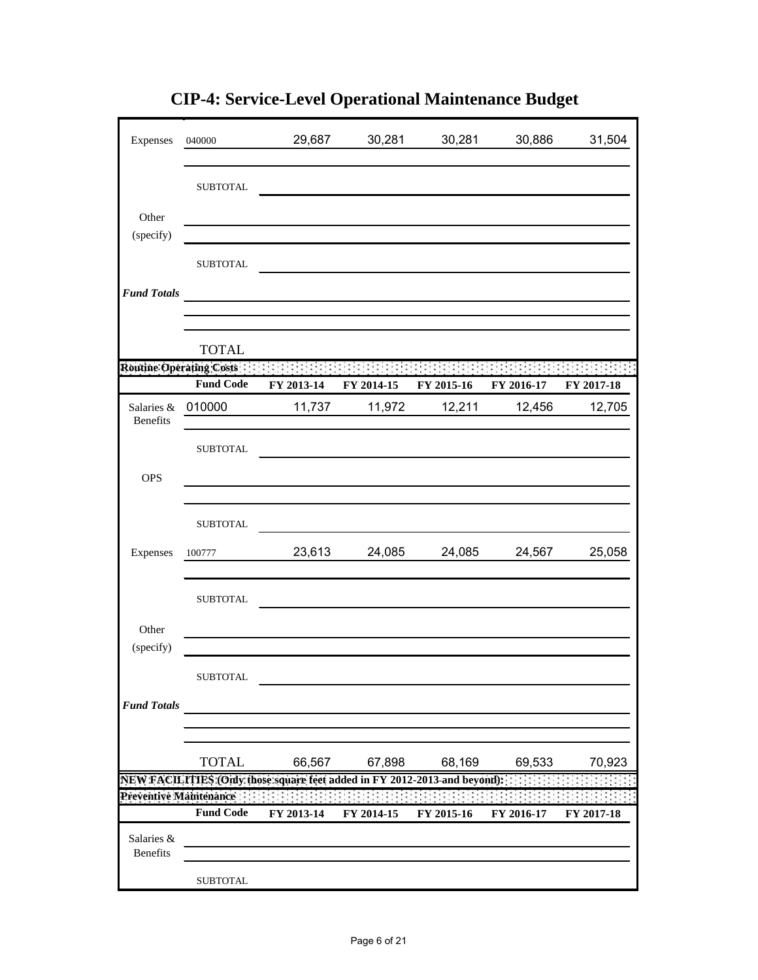| Expenses                      | 040000                                      | 29,687                                                                    | 30,281     | 30,281     | 30,886     | 31,504     |
|-------------------------------|---------------------------------------------|---------------------------------------------------------------------------|------------|------------|------------|------------|
|                               | <b>SUBTOTAL</b>                             |                                                                           |            |            |            |            |
| Other                         |                                             |                                                                           |            |            |            |            |
| (specify)                     | <b>SUBTOTAL</b>                             |                                                                           |            |            |            |            |
| <b>Fund Totals</b>            |                                             |                                                                           |            |            |            |            |
|                               | <b>TOTAL</b>                                |                                                                           |            |            |            |            |
|                               | Routine Operating Costs<br><b>Fund Code</b> | FY 2013-14                                                                | FY 2014-15 | FY 2015-16 | FY 2016-17 | FY 2017-18 |
| Salaries &<br>Benefits        | 010000                                      | 11,737                                                                    | 11,972     | 12,211     | 12,456     | 12,705     |
|                               | <b>SUBTOTAL</b>                             |                                                                           |            |            |            |            |
| <b>OPS</b>                    |                                             |                                                                           |            |            |            |            |
|                               | <b>SUBTOTAL</b>                             |                                                                           |            |            |            |            |
| Expenses                      | 100777                                      | 23,613                                                                    | 24,085     | 24,085     | 24,567     | 25,058     |
|                               | <b>SUBTOTAL</b>                             |                                                                           |            |            |            |            |
| Other<br>(specify)            |                                             |                                                                           |            |            |            |            |
|                               | <b>SUBTOTAL</b>                             |                                                                           |            |            |            |            |
| <b>Fund Totals</b>            |                                             |                                                                           |            |            |            |            |
|                               | <b>TOTAL</b>                                | 66,567                                                                    | 67,898     | 68,169     | 69,533     | 70,923     |
|                               |                                             | NEW FACILITIES (Only those square feet added in FY 2012-2013 and beyond): |            |            |            |            |
| Preventive Maintenance        | <b>Fund Code</b>                            | FY 2013-14                                                                | FY 2014-15 | FY 2015-16 | FY 2016-17 | FY 2017-18 |
| Salaries &<br><b>Benefits</b> |                                             |                                                                           |            |            |            |            |
|                               | <b>SUBTOTAL</b>                             |                                                                           |            |            |            |            |

**CIP-4: Service-Level Operational Maintenance Budget**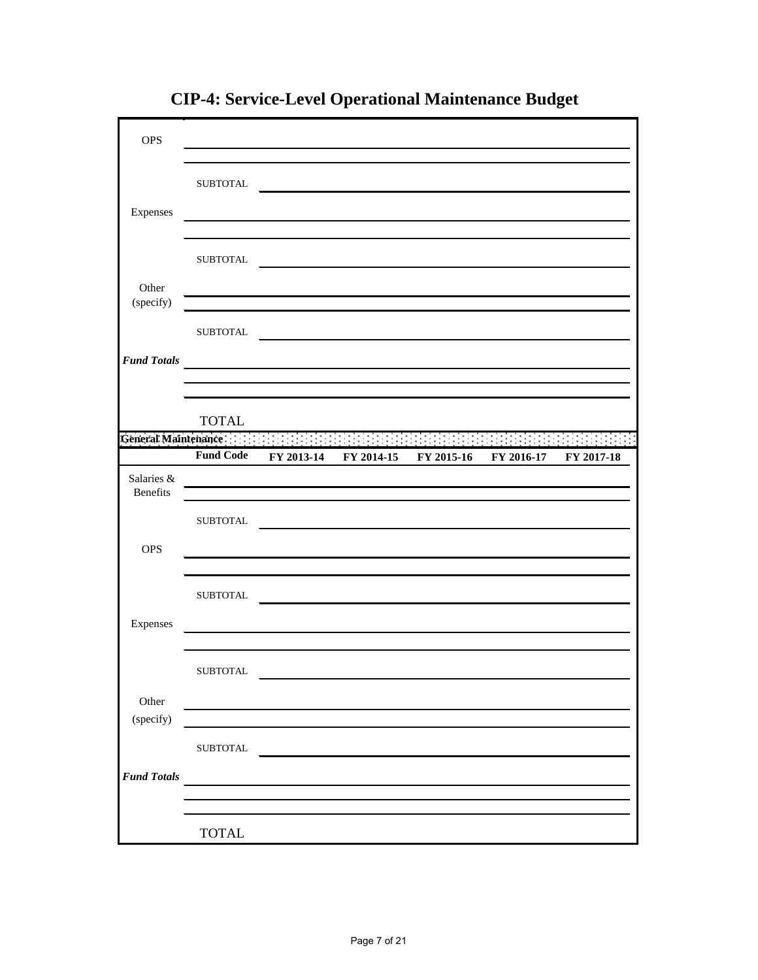| <b>OPS</b>                    |                  |                                                                                                                                                                                                                                               |                                  |            |            |
|-------------------------------|------------------|-----------------------------------------------------------------------------------------------------------------------------------------------------------------------------------------------------------------------------------------------|----------------------------------|------------|------------|
| Expenses                      | <b>SUBTOTAL</b>  | <u> 1989 - Jan Samuel Barbara, margaret eta idazlea (h. 1989).</u>                                                                                                                                                                            |                                  |            |            |
|                               | <b>SUBTOTAL</b>  |                                                                                                                                                                                                                                               |                                  |            |            |
| Other<br>(specify)            |                  |                                                                                                                                                                                                                                               |                                  |            |            |
| <b>Fund Totals</b>            | <b>SUBTOTAL</b>  | <u> 1980 - Jan Samuel Barbara, martin da shekara 1980 - An tsara 1980 - An tsara 1980 - An tsara 1980 - An tsara</u><br><u> 1989 - Johann Harry Harry Harry Harry Harry Harry Harry Harry Harry Harry Harry Harry Harry Harry Harry Harry</u> |                                  |            |            |
|                               | <b>TOTAL</b>     |                                                                                                                                                                                                                                               |                                  |            |            |
| General Maintenance :         |                  |                                                                                                                                                                                                                                               |                                  |            |            |
|                               | <b>Fund Code</b> |                                                                                                                                                                                                                                               | FY 2013-14 FY 2014-15 FY 2015-16 | FY 2016-17 | FY 2017-18 |
| Salaries &<br><b>Benefits</b> |                  | <u> 1989 - Johann Barbara, martxa amerikan personal (h. 1989).</u>                                                                                                                                                                            |                                  |            |            |
|                               | <b>SUBTOTAL</b>  |                                                                                                                                                                                                                                               |                                  |            |            |
| <b>OPS</b>                    |                  |                                                                                                                                                                                                                                               |                                  |            |            |
|                               | <b>SUBTOTAL</b>  |                                                                                                                                                                                                                                               |                                  |            |            |
| Expenses                      |                  |                                                                                                                                                                                                                                               |                                  |            |            |
|                               | SUBTOTAL         |                                                                                                                                                                                                                                               |                                  |            |            |
| Other<br>(specify)            |                  |                                                                                                                                                                                                                                               |                                  |            |            |
|                               | ${\tt SUBTOTAL}$ |                                                                                                                                                                                                                                               |                                  |            |            |
| <b>Fund Totals</b>            |                  |                                                                                                                                                                                                                                               |                                  |            |            |
|                               | <b>TOTAL</b>     |                                                                                                                                                                                                                                               |                                  |            |            |

**CIP-4: Service-Level Operational Maintenance Budget**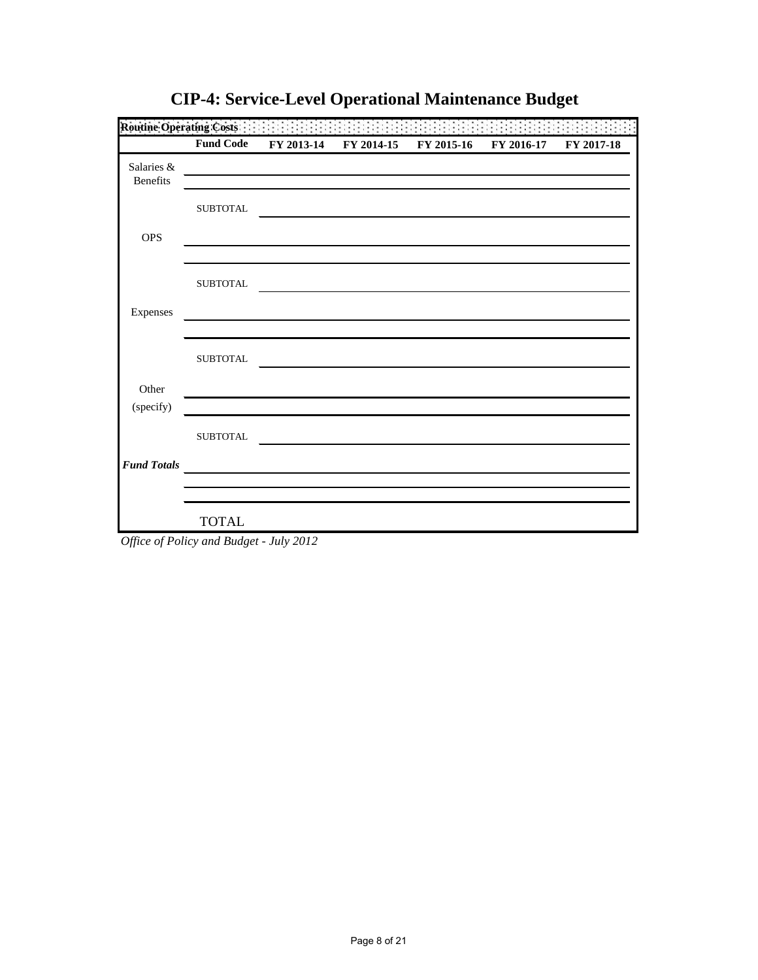|                        | <b>Fund Code</b> | FY 2013-14                                                                                                           | FY 2014-15 | FY 2015-16 | FY 2016-17 | FY 2017-18 |
|------------------------|------------------|----------------------------------------------------------------------------------------------------------------------|------------|------------|------------|------------|
| Salaries &<br>Benefits |                  | <u> 1989 - Johann Barn, mars eta bainar eta industrial eta erromana eta erromana eta erromana eta erromana eta e</u> |            |            |            |            |
|                        | <b>SUBTOTAL</b>  |                                                                                                                      |            |            |            |            |
| <b>OPS</b>             |                  |                                                                                                                      |            |            |            |            |
|                        | <b>SUBTOTAL</b>  |                                                                                                                      |            |            |            |            |
| Expenses               |                  |                                                                                                                      |            |            |            |            |
|                        | <b>SUBTOTAL</b>  |                                                                                                                      |            |            |            |            |
| Other                  |                  |                                                                                                                      |            |            |            |            |
| (specify)              | <b>SUBTOTAL</b>  |                                                                                                                      |            |            |            |            |
| <b>Fund Totals</b>     |                  | and the control of the control of the control of the control of the control of the control of the control of the     |            |            |            |            |
|                        |                  |                                                                                                                      |            |            |            |            |
|                        | <b>TOTAL</b>     |                                                                                                                      |            |            |            |            |

**CIP-4: Service-Level Operational Maintenance Budget**

*Office of Policy and Budget - July 2012*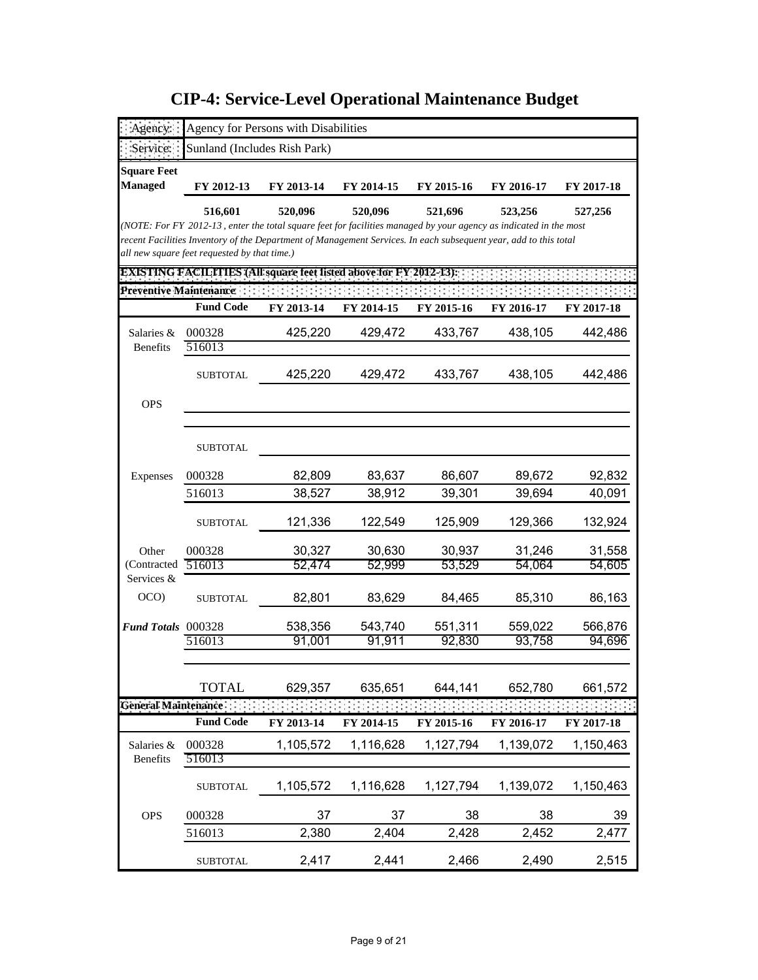| gency:                         |                                                                                                                                                                  | Agency for Persons with Disabilities |            |            |            |            |
|--------------------------------|------------------------------------------------------------------------------------------------------------------------------------------------------------------|--------------------------------------|------------|------------|------------|------------|
| Service:                       | Sunland (Includes Rish Park)                                                                                                                                     |                                      |            |            |            |            |
| <b>Square Feet</b>             |                                                                                                                                                                  |                                      |            |            |            |            |
| <b>Managed</b>                 | FY 2012-13                                                                                                                                                       | FY 2013-14                           | FY 2014-15 | FY 2015-16 | FY 2016-17 | FY 2017-18 |
|                                | 516,601                                                                                                                                                          | 520,096                              | 520,096    | 521,696    | 523,256    | 527,256    |
|                                | (NOTE: For FY 2012-13, enter the total square feet for facilities managed by your agency as indicated in the most                                                |                                      |            |            |            |            |
|                                | recent Facilities Inventory of the Department of Management Services. In each subsequent year, add to this total<br>all new square feet requested by that time.) |                                      |            |            |            |            |
|                                | <b>EXISTING FACILITIES (All square feet listed above for FY 2012-13):</b>                                                                                        |                                      |            |            |            |            |
| <b>Preventive Maintenance:</b> |                                                                                                                                                                  |                                      |            |            |            |            |
|                                | <b>Fund Code</b>                                                                                                                                                 | FY 2013-14                           | FY 2014-15 | FY 2015-16 | FY 2016-17 | FY 2017-18 |
| Salaries &                     | 000328                                                                                                                                                           | 425,220                              | 429,472    | 433,767    | 438,105    | 442,486    |
| <b>Benefits</b>                | 516013                                                                                                                                                           |                                      |            |            |            |            |
|                                | SUBTOTAL                                                                                                                                                         | 425,220                              | 429,472    | 433,767    | 438,105    | 442,486    |
|                                |                                                                                                                                                                  |                                      |            |            |            |            |
| <b>OPS</b>                     |                                                                                                                                                                  |                                      |            |            |            |            |
|                                |                                                                                                                                                                  |                                      |            |            |            |            |
|                                | <b>SUBTOTAL</b>                                                                                                                                                  |                                      |            |            |            |            |
| Expenses                       | 000328                                                                                                                                                           | 82,809                               | 83,637     | 86,607     | 89,672     | 92,832     |
|                                | 516013                                                                                                                                                           | 38,527                               | 38,912     | 39,301     | 39,694     | 40,091     |
|                                | <b>SUBTOTAL</b>                                                                                                                                                  | 121,336                              | 122,549    | 125,909    | 129,366    | 132,924    |
| Other                          | 000328                                                                                                                                                           | 30,327                               | 30,630     | 30,937     | 31,246     | 31,558     |
| (Contracted                    | 516013                                                                                                                                                           | 52,474                               | 52,999     | 53,529     | 54,064     | 54,605     |
| Services &                     |                                                                                                                                                                  |                                      |            |            |            |            |
| OCO)                           | <b>SUBTOTAL</b>                                                                                                                                                  | 82,801                               | 83,629     | 84,465     | 85,310     | 86,163     |
| <b>Fund Totals</b> 000328      |                                                                                                                                                                  | 538,356                              | 543,740    | 551,311    | 559,022    | 566,876    |
|                                | 516013                                                                                                                                                           | 91,001                               | 91,911     | 92,830     | 93,758     | 94,696     |
|                                |                                                                                                                                                                  |                                      |            |            |            |            |
|                                | <b>TOTAL</b>                                                                                                                                                     | 629,357                              | 635,651    | 644,141    | 652,780    | 661,572    |
| General Maintenance            |                                                                                                                                                                  |                                      |            |            |            |            |
|                                | <b>Fund Code</b>                                                                                                                                                 | FY 2013-14                           | FY 2014-15 | FY 2015-16 | FY 2016-17 | FY 2017-18 |
| Salaries &                     | 000328                                                                                                                                                           | 1,105,572                            | 1,116,628  | 1,127,794  | 1,139,072  | 1,150,463  |
| Benefits                       | 516013                                                                                                                                                           |                                      |            |            |            |            |
|                                | <b>SUBTOTAL</b>                                                                                                                                                  | 1,105,572                            | 1,116,628  | 1,127,794  | 1,139,072  | 1,150,463  |
| <b>OPS</b>                     | 000328                                                                                                                                                           | 37                                   | 37         | 38         | 38         | 39         |
|                                | 516013                                                                                                                                                           | 2,380                                | 2,404      | 2,428      | 2,452      | 2,477      |
|                                | <b>SUBTOTAL</b>                                                                                                                                                  | 2,417                                | 2,441      | 2,466      | 2,490      | 2,515      |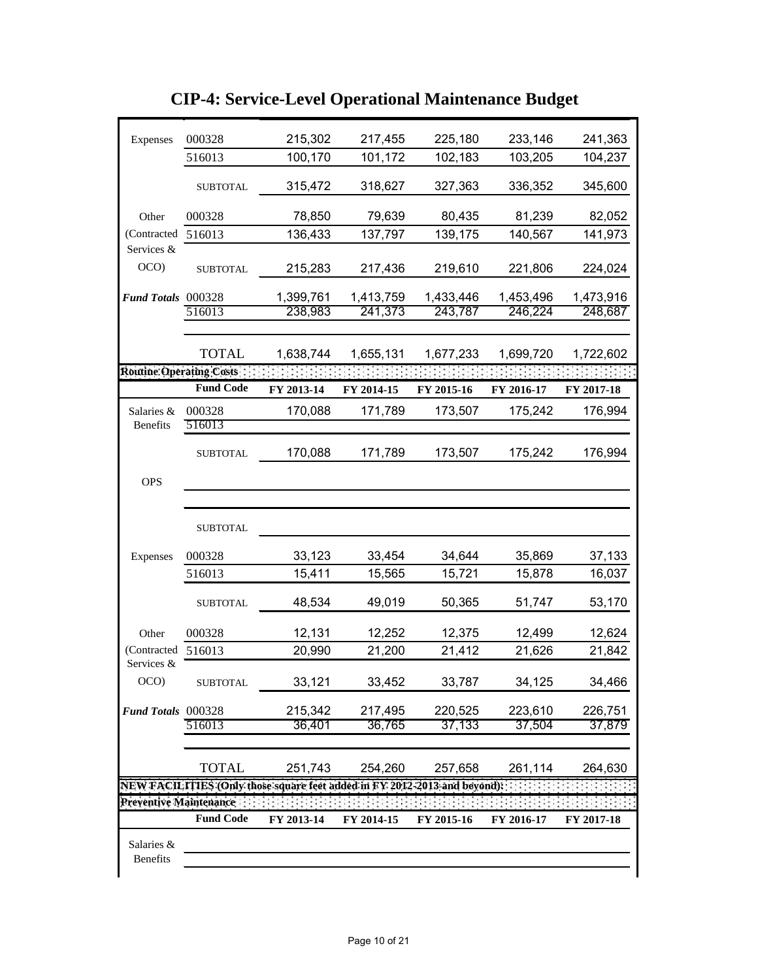| Expenses                 | 000328           | 215,302                                                                   | 217,455    | 225,180    | 233,146    | 241,363    |
|--------------------------|------------------|---------------------------------------------------------------------------|------------|------------|------------|------------|
|                          | 516013           | 100,170                                                                   | 101,172    | 102,183    | 103,205    | 104,237    |
|                          | <b>SUBTOTAL</b>  | 315,472                                                                   | 318,627    | 327,363    | 336,352    | 345,600    |
| Other                    | 000328           | 78,850                                                                    | 79,639     | 80,435     | 81,239     | 82,052     |
| (Contracted 516013       |                  | 136,433                                                                   | 137,797    | 139,175    | 140,567    | 141,973    |
| Services &               |                  |                                                                           |            |            |            |            |
| OCO)                     | <b>SUBTOTAL</b>  | 215,283                                                                   | 217,436    | 219,610    | 221,806    | 224,024    |
| Fund Totals 000328       |                  | 1,399,761                                                                 | 1,413,759  | 1,433,446  | 1,453,496  | 1,473,916  |
|                          | 516013           | 238,983                                                                   | 241,373    | 243,787    | 246,224    | 248,687    |
|                          |                  |                                                                           |            |            |            |            |
|                          | <b>TOTAL</b>     | 1,638,744                                                                 | 1,655,131  | 1,677,233  | 1,699,720  | 1,722,602  |
| Routine: Operating Costs |                  |                                                                           |            |            |            |            |
|                          | <b>Fund Code</b> | FY 2013-14                                                                | FY 2014-15 | FY 2015-16 | FY 2016-17 | FY 2017-18 |
| Salaries &               | 000328           | 170,088                                                                   | 171,789    | 173,507    | 175,242    | 176,994    |
| <b>Benefits</b>          | 516013           |                                                                           |            |            |            |            |
|                          | <b>SUBTOTAL</b>  | 170,088                                                                   | 171,789    | 173,507    | 175,242    | 176,994    |
| <b>OPS</b>               |                  |                                                                           |            |            |            |            |
|                          |                  |                                                                           |            |            |            |            |
|                          | <b>SUBTOTAL</b>  |                                                                           |            |            |            |            |
| Expenses                 | 000328           | 33,123                                                                    | 33,454     | 34,644     | 35,869     | 37,133     |
|                          | 516013           | 15,411                                                                    | 15,565     | 15,721     | 15,878     | 16,037     |
|                          | <b>SUBTOTAL</b>  | 48,534                                                                    | 49,019     | 50,365     | 51,747     | 53,170     |
| Other                    | 000328           | 12,131                                                                    | 12,252     | 12,375     | 12,499     | 12,624     |
| (Contracted 516013)      |                  | 20,990                                                                    | 21,200     | 21,412     | 21,626     | 21,842     |
| Services &<br>OCO        | <b>SUBTOTAL</b>  | 33,121                                                                    | 33,452     | 33,787     | 34,125     | 34,466     |
| Fund Totals 000328       |                  | 215,342                                                                   | 217,495    | 220,525    | 223,610    | 226,751    |
|                          | 516013           | 36,401                                                                    | 36,765     | 37,133     | 37,504     | 37,879     |
|                          |                  |                                                                           |            |            |            |            |
|                          | <b>TOTAL</b>     | 251,743                                                                   | 254,260    | 257,658    | 261,114    | 264,630    |
|                          |                  | NEW FACILITIES (Only those square feet added in FY 2012-2013 and beyond): |            |            |            |            |
| Preventive Maintenance   |                  |                                                                           |            |            |            |            |
|                          | <b>Fund Code</b> | FY 2013-14                                                                | FY 2014-15 | FY 2015-16 | FY 2016-17 | FY 2017-18 |
| Salaries &<br>Benefits   |                  |                                                                           |            |            |            |            |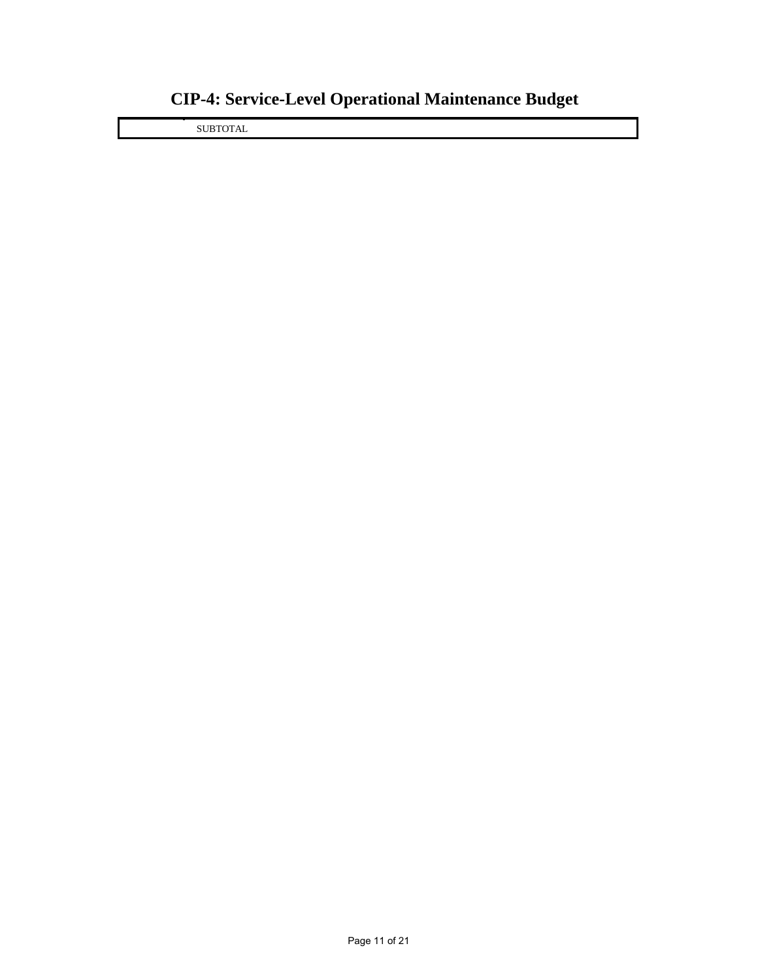SUBTOTAL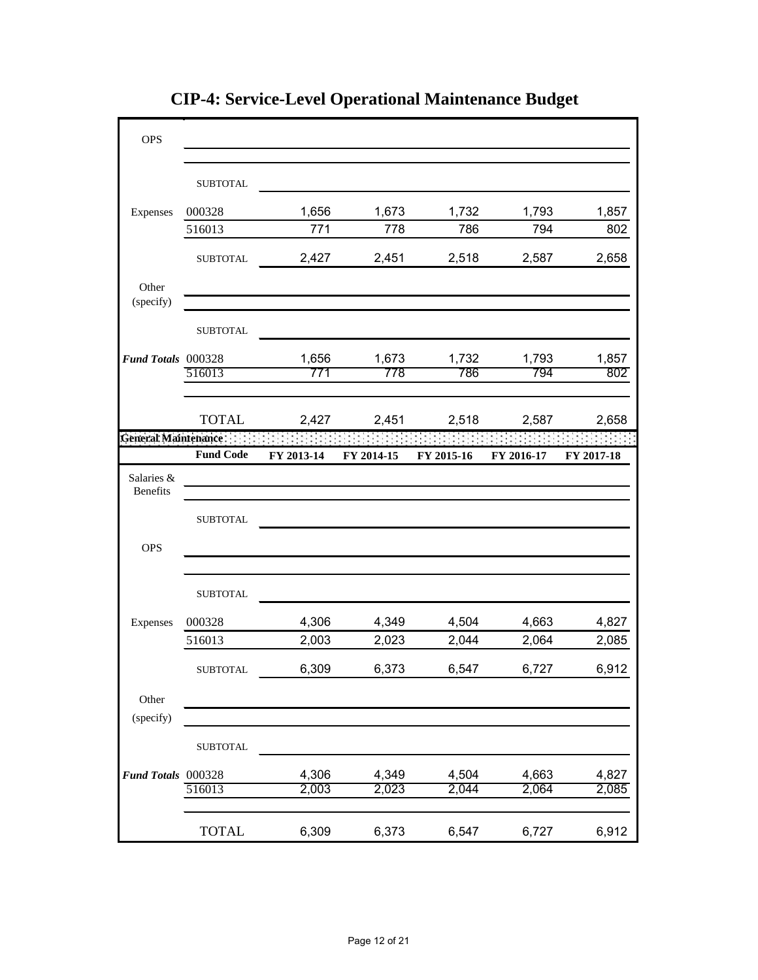| <b>OPS</b>                    |                  |            |            |            |            |            |
|-------------------------------|------------------|------------|------------|------------|------------|------------|
|                               | <b>SUBTOTAL</b>  |            |            |            |            |            |
|                               |                  |            |            |            |            |            |
| Expenses                      | 000328           | 1,656      | 1,673      | 1,732      | 1,793      | 1,857      |
|                               | 516013           | 771        | 778        | 786        | 794        | 802        |
|                               | <b>SUBTOTAL</b>  | 2,427      | 2,451      | 2,518      | 2,587      | 2,658      |
| Other<br>(specify)            |                  |            |            |            |            |            |
|                               | <b>SUBTOTAL</b>  |            |            |            |            |            |
| Fund Totals 000328            |                  | 1,656      | 1,673      | 1,732      | 1,793      | 1,857      |
|                               | 516013           | 771        | 778        | 786        | 794        | 802        |
|                               |                  |            |            |            |            |            |
|                               | <b>TOTAL</b>     | 2,427      | 2,451      | 2,518      | 2,587      | 2,658      |
| General Maintenance           |                  |            |            |            |            |            |
|                               | <b>Fund Code</b> | FY 2013-14 | FY 2014-15 | FY 2015-16 | FY 2016-17 | FY 2017-18 |
| Salaries &<br><b>Benefits</b> |                  |            |            |            |            |            |
|                               | <b>SUBTOTAL</b>  |            |            |            |            |            |
| <b>OPS</b>                    |                  |            |            |            |            |            |
|                               | <b>SUBTOTAL</b>  |            |            |            |            |            |
| Expenses                      | 000328           | 4,306      | 4,349      | 4,504      | 4,663      | 4,827      |
|                               | 516013           | 2,003      | 2,023      | 2,044      | 2,064      | 2,085      |
|                               | <b>SUBTOTAL</b>  | 6,309      | 6,373      | 6,547      | 6,727      | 6,912      |
| Other                         |                  |            |            |            |            |            |
| (specify)                     |                  |            |            |            |            |            |
|                               | <b>SUBTOTAL</b>  |            |            |            |            |            |
| Fund Totals 000328            |                  | 4,306      | 4,349      | 4,504      | 4,663      | 4,827      |
|                               | 516013           | 2,003      | 2,023      | 2,044      | 2,064      | 2,085      |
|                               | <b>TOTAL</b>     | 6,309      | 6,373      | 6,547      | 6,727      | 6,912      |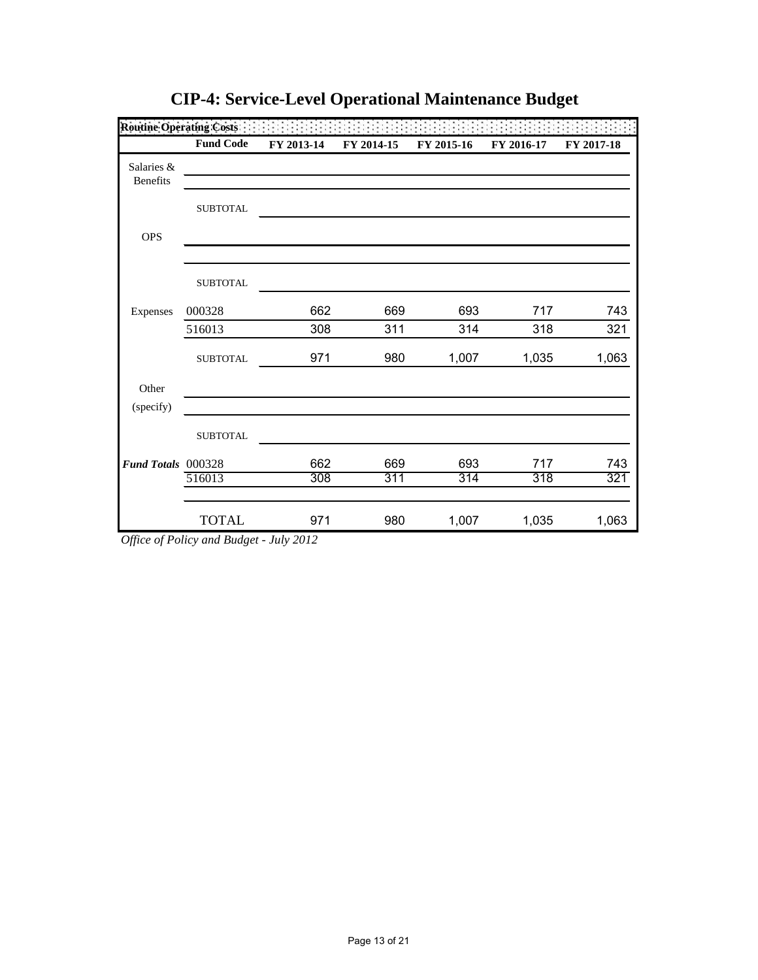|                               | <b>Fund Code</b> | FY 2013-14 | FY 2014-15 | FY 2015-16 | FY 2016-17 | FY 2017-18 |
|-------------------------------|------------------|------------|------------|------------|------------|------------|
| Salaries &<br><b>Benefits</b> |                  |            |            |            |            |            |
|                               | <b>SUBTOTAL</b>  |            |            |            |            |            |
| <b>OPS</b>                    |                  |            |            |            |            |            |
|                               | <b>SUBTOTAL</b>  |            |            |            |            |            |
| Expenses                      | 000328           | 662        | 669        | 693        | 717        | 743        |
|                               | 516013           | 308        | 311        | 314        | 318        | 321        |
|                               | <b>SUBTOTAL</b>  | 971        | 980        | 1,007      | 1,035      | 1,063      |
| Other                         |                  |            |            |            |            |            |
| (specify)                     |                  |            |            |            |            |            |
|                               | <b>SUBTOTAL</b>  |            |            |            |            |            |
| Fund Totals 000328            |                  | 662        | 669        | 693        | 717        | 743        |
|                               | 516013           | 308        | 311        | 314        | 318        | 321        |
|                               | <b>TOTAL</b>     | 971        | 980        | 1,007      | 1,035      | 1,063      |

*Office of Policy and Budget - July 2012*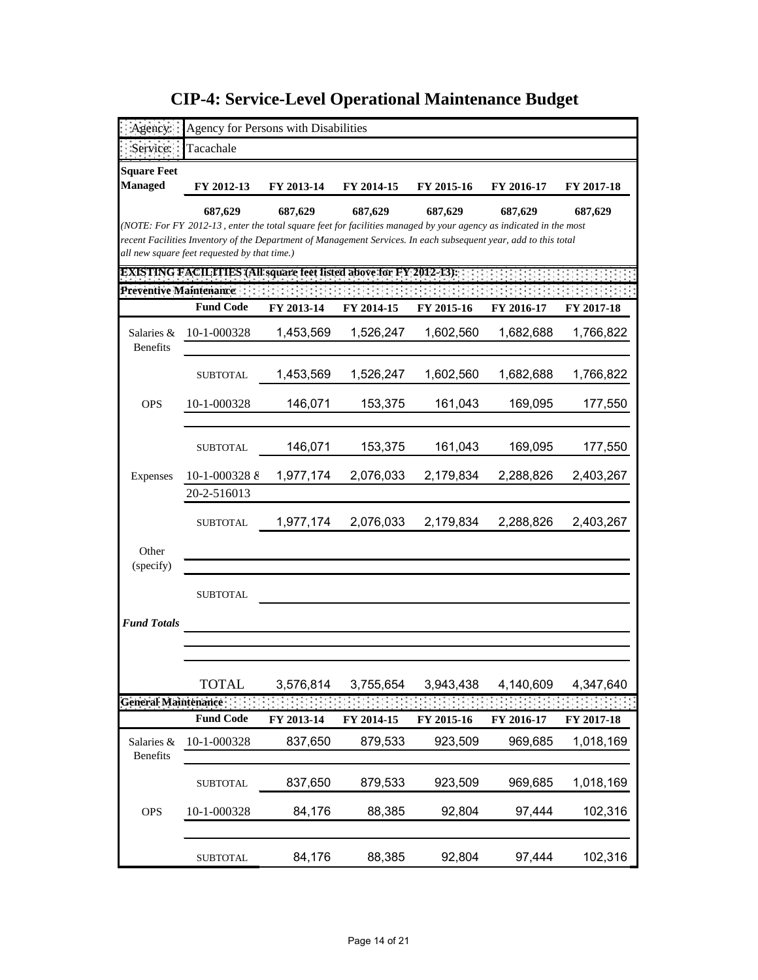| Agency:                       | Agency for Persons with Disabilities                                                                                                                             |            |            |            |            |            |
|-------------------------------|------------------------------------------------------------------------------------------------------------------------------------------------------------------|------------|------------|------------|------------|------------|
| Service:                      | Tacachale                                                                                                                                                        |            |            |            |            |            |
| <b>Square Feet</b>            |                                                                                                                                                                  |            |            |            |            |            |
| <b>Managed</b>                | FY 2012-13                                                                                                                                                       | FY 2013-14 | FY 2014-15 | FY 2015-16 | FY 2016-17 | FY 2017-18 |
|                               | 687,629                                                                                                                                                          | 687,629    | 687,629    | 687,629    | 687,629    | 687,629    |
|                               | (NOTE: For FY 2012-13, enter the total square feet for facilities managed by your agency as indicated in the most                                                |            |            |            |            |            |
|                               | recent Facilities Inventory of the Department of Management Services. In each subsequent year, add to this total<br>all new square feet requested by that time.) |            |            |            |            |            |
|                               | <b>EXISTING FACILITIES (All square feet listed above for FY 2012-13):</b>                                                                                        |            |            |            |            |            |
| Preventive Maintenance:       |                                                                                                                                                                  |            |            |            |            |            |
|                               | <b>Fund Code</b>                                                                                                                                                 | FY 2013-14 | FY 2014-15 | FY 2015-16 | FY 2016-17 | FY 2017-18 |
| Salaries &<br><b>Benefits</b> | 10-1-000328                                                                                                                                                      | 1,453,569  | 1,526,247  | 1,602,560  | 1,682,688  | 1,766,822  |
|                               | <b>SUBTOTAL</b>                                                                                                                                                  | 1,453,569  | 1,526,247  | 1,602,560  | 1,682,688  | 1,766,822  |
| <b>OPS</b>                    | 10-1-000328                                                                                                                                                      | 146,071    | 153,375    | 161,043    | 169,095    | 177,550    |
|                               |                                                                                                                                                                  |            |            |            |            |            |
|                               | <b>SUBTOTAL</b>                                                                                                                                                  | 146,071    | 153,375    | 161,043    | 169,095    | 177,550    |
| Expenses                      | 10-1-000328 $\delta$                                                                                                                                             | 1,977,174  | 2,076,033  | 2,179,834  | 2,288,826  | 2,403,267  |
|                               | 20-2-516013                                                                                                                                                      |            |            |            |            |            |
|                               | <b>SUBTOTAL</b>                                                                                                                                                  | 1,977,174  | 2,076,033  | 2,179,834  | 2,288,826  | 2,403,267  |
| Other                         |                                                                                                                                                                  |            |            |            |            |            |
| (specify)                     |                                                                                                                                                                  |            |            |            |            |            |
|                               | <b>SUBTOTAL</b>                                                                                                                                                  |            |            |            |            |            |
| <b>Fund Totals</b>            |                                                                                                                                                                  |            |            |            |            |            |
|                               |                                                                                                                                                                  |            |            |            |            |            |
|                               | <b>TOTAL</b>                                                                                                                                                     | 3,576,814  | 3,755,654  | 3,943,438  | 4,140,609  | 4,347,640  |
| General Maintenance           |                                                                                                                                                                  |            |            |            |            |            |
|                               | <b>Fund Code</b>                                                                                                                                                 | FY 2013-14 | FY 2014-15 | FY 2015-16 | FY 2016-17 | FY 2017-18 |
| Salaries &<br>Benefits        | 10-1-000328                                                                                                                                                      | 837,650    | 879,533    | 923,509    | 969,685    | 1,018,169  |
|                               |                                                                                                                                                                  |            |            |            |            |            |
|                               | <b>SUBTOTAL</b>                                                                                                                                                  | 837,650    | 879,533    | 923,509    | 969,685    | 1,018,169  |
| <b>OPS</b>                    | 10-1-000328                                                                                                                                                      | 84,176     | 88,385     | 92,804     | 97,444     | 102,316    |
|                               |                                                                                                                                                                  |            | 88,385     |            |            | 102,316    |
|                               | <b>SUBTOTAL</b>                                                                                                                                                  | 84,176     |            | 92,804     | 97,444     |            |

**CIP-4: Service-Level Operational Maintenance Budget**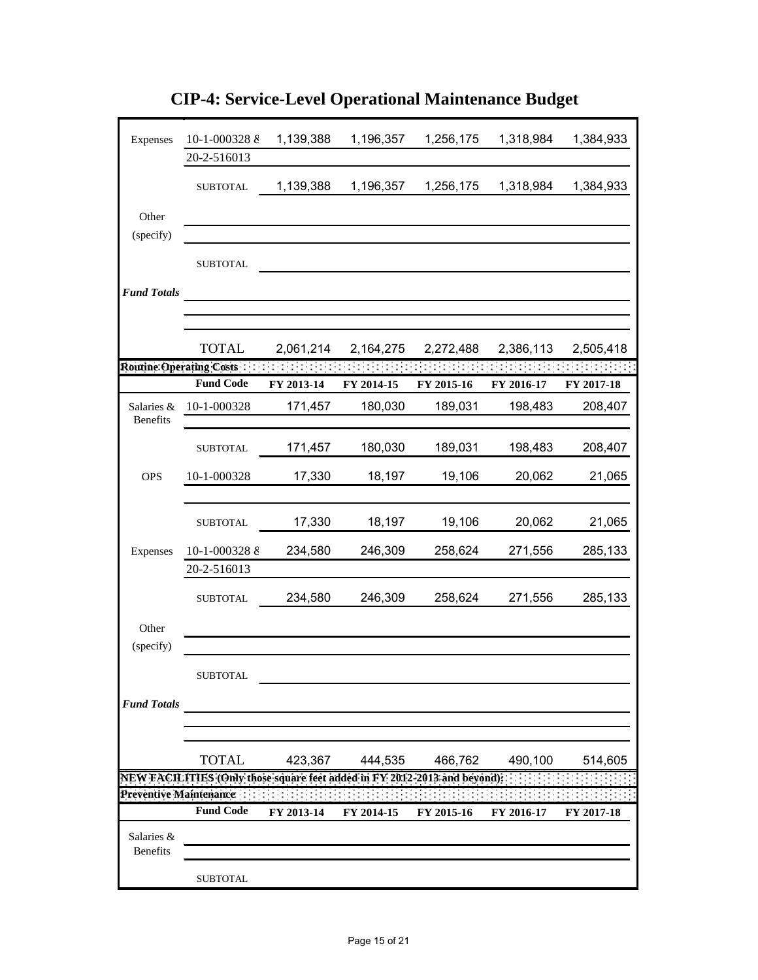| Expenses                      | 10-1-000328 $\delta$<br>20-2-516013                                       | 1,139,388  | 1,196,357  | 1,256,175                   | 1,318,984            | 1,384,933                         |
|-------------------------------|---------------------------------------------------------------------------|------------|------------|-----------------------------|----------------------|-----------------------------------|
|                               | <b>SUBTOTAL</b>                                                           | 1,139,388  | 1,196,357  | 1,256,175                   | 1,318,984            | 1,384,933                         |
| Other                         |                                                                           |            |            |                             |                      |                                   |
| (specify)                     |                                                                           |            |            |                             |                      |                                   |
|                               | ${\tt SUBTOTAL}$                                                          |            |            |                             |                      |                                   |
| <b>Fund Totals</b>            |                                                                           |            |            |                             |                      |                                   |
|                               |                                                                           |            |            |                             |                      |                                   |
|                               | <b>TOTAL</b>                                                              | 2,061,214  | 2,164,275  | 2,272,488                   | 2,386,113            | 2,505,418                         |
|                               | Routine Operating Costs : : : : : : : : :                                 |            |            | $\mathcal{L} = \mathcal{L}$ | statistica di contro | <b>Contract Contract Contract</b> |
|                               | <b>Fund Code</b>                                                          | FY 2013-14 | FY 2014-15 | FY 2015-16                  | FY 2016-17           | FY 2017-18                        |
| Salaries &<br>Benefits        | 10-1-000328                                                               | 171,457    | 180,030    | 189,031                     | 198,483              | 208,407                           |
|                               | <b>SUBTOTAL</b>                                                           | 171,457    | 180,030    | 189,031                     | 198,483              | 208,407                           |
| <b>OPS</b>                    | 10-1-000328                                                               | 17,330     | 18,197     | 19,106                      | 20,062               | 21,065                            |
|                               | <b>SUBTOTAL</b>                                                           | 17,330     | 18,197     | 19,106                      | 20,062               | 21,065                            |
| Expenses                      | 10-1-000328 8                                                             | 234,580    | 246,309    | 258,624                     | 271,556              | 285,133                           |
|                               | 20-2-516013                                                               |            |            |                             |                      |                                   |
|                               | <b>SUBTOTAL</b>                                                           | 234,580    | 246,309    | 258,624                     | 271,556              | 285,133                           |
| Other                         |                                                                           |            |            |                             |                      |                                   |
| (specify)                     |                                                                           |            |            |                             |                      |                                   |
|                               | SUBTOTAL                                                                  |            |            |                             |                      |                                   |
| <b>Fund Totals</b>            |                                                                           |            |            |                             |                      |                                   |
|                               | <b>TOTAL</b>                                                              | 423,367    | 444,535    | 466,762                     | 490,100              | 514,605                           |
|                               | NEW FACILITIES (Only those square feet added in FY 2012-2013 and beyond); |            |            |                             |                      |                                   |
|                               | <b>Preventive Maintenance</b>                                             |            |            |                             |                      |                                   |
|                               | <b>Fund Code</b>                                                          | FY 2013-14 | FY 2014-15 | FY 2015-16                  | FY 2016-17           | FY 2017-18                        |
| Salaries &<br><b>Benefits</b> |                                                                           |            |            |                             |                      |                                   |
|                               | <b>SUBTOTAL</b>                                                           |            |            |                             |                      |                                   |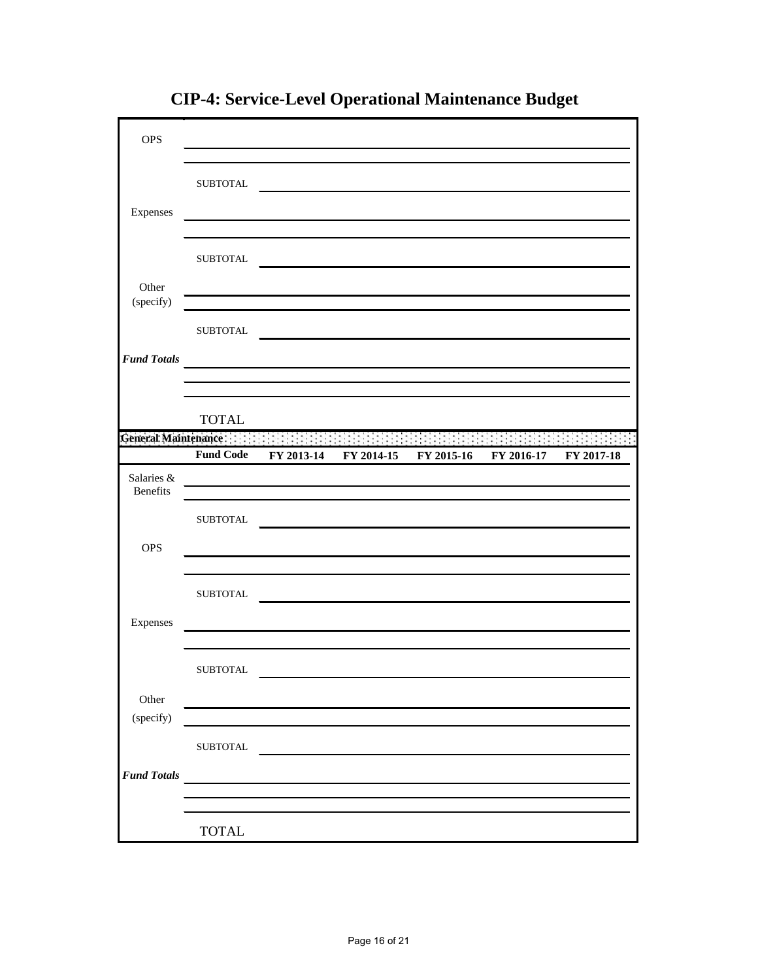| <b>OPS</b>                    |                        |            |            |                                                                                        |            |                    |
|-------------------------------|------------------------|------------|------------|----------------------------------------------------------------------------------------|------------|--------------------|
| Expenses                      | ${\tt SUBTOTAL}$       |            |            |                                                                                        |            |                    |
|                               | <b>SUBTOTAL</b>        |            |            |                                                                                        |            |                    |
| Other<br>(specify)            |                        |            |            |                                                                                        |            |                    |
| <b>Fund Totals</b>            | <b>SUBTOTAL</b>        |            |            |                                                                                        |            |                    |
|                               | <b>TOTAL</b>           |            |            |                                                                                        |            |                    |
|                               |                        |            |            | General Maintenance and a state of the state of the state of the state of the state of |            | <b>START START</b> |
|                               | <b>Fund Code</b>       | FY 2013-14 | FY 2014-15 | FY 2015-16                                                                             | FY 2016-17 | FY 2017-18         |
| Salaries &<br><b>Benefits</b> |                        |            |            |                                                                                        |            |                    |
|                               | <b>SUBTOTAL</b>        |            |            |                                                                                        |            |                    |
| <b>OPS</b>                    |                        |            |            |                                                                                        |            |                    |
| Expenses                      | <b>SUBTOTAL</b>        |            |            |                                                                                        |            |                    |
|                               |                        |            |            |                                                                                        |            |                    |
|                               | ${\tt SUBTOTAL}$       |            |            |                                                                                        |            |                    |
| Other<br>(specify)            |                        |            |            |                                                                                        |            |                    |
|                               | ${\tt SUBTOTAL}$       |            |            |                                                                                        |            |                    |
| <b>Fund Totals</b>            |                        |            |            |                                                                                        |            |                    |
|                               | $\operatorname{TOTAL}$ |            |            |                                                                                        |            |                    |

**CIP-4: Service-Level Operational Maintenance Budget**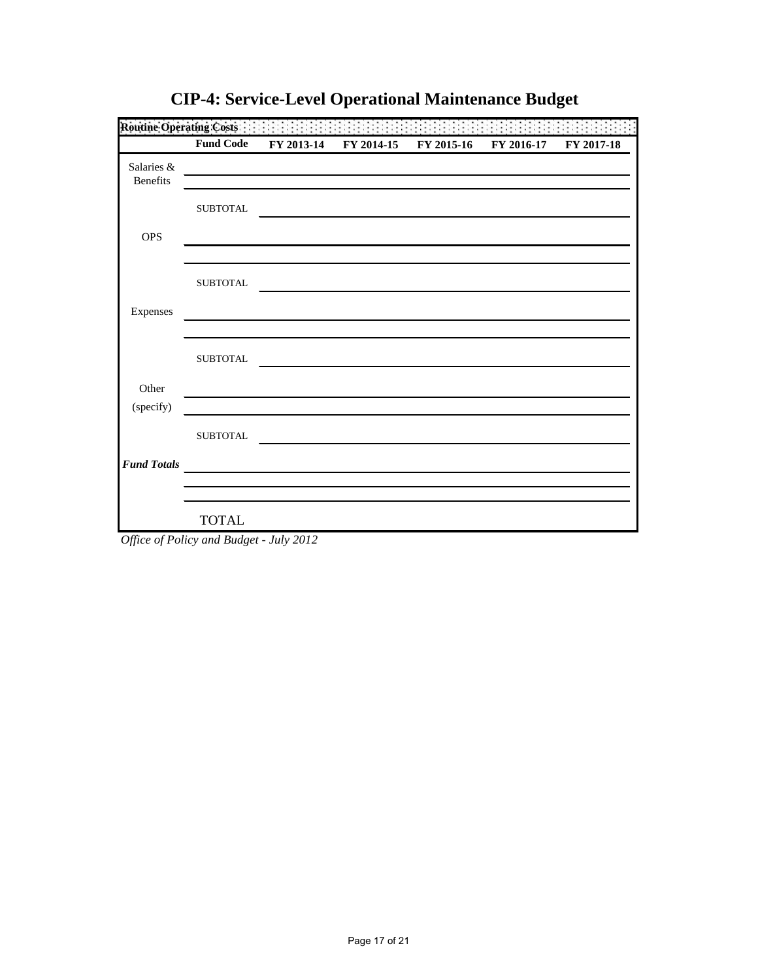|                        | <b>Fund Code</b> | FY 2013-14 | FY 2014-15 | FY 2015-16 | FY 2016-17 | FY 2017-18 |
|------------------------|------------------|------------|------------|------------|------------|------------|
| Salaries &<br>Benefits |                  |            |            |            |            |            |
|                        | <b>SUBTOTAL</b>  |            |            |            |            |            |
| <b>OPS</b>             |                  |            |            |            |            |            |
|                        | <b>SUBTOTAL</b>  |            |            |            |            |            |
| Expenses               |                  |            |            |            |            |            |
|                        | <b>SUBTOTAL</b>  |            |            |            |            |            |
| Other                  |                  |            |            |            |            |            |
| (specify)              |                  |            |            |            |            |            |
|                        | <b>SUBTOTAL</b>  |            |            |            |            |            |
| <b>Fund Totals</b>     |                  |            |            |            |            |            |
|                        |                  |            |            |            |            |            |
|                        | <b>TOTAL</b>     |            |            |            |            |            |

**CIP-4: Service-Level Operational Maintenance Budget**

*Office of Policy and Budget - July 2012*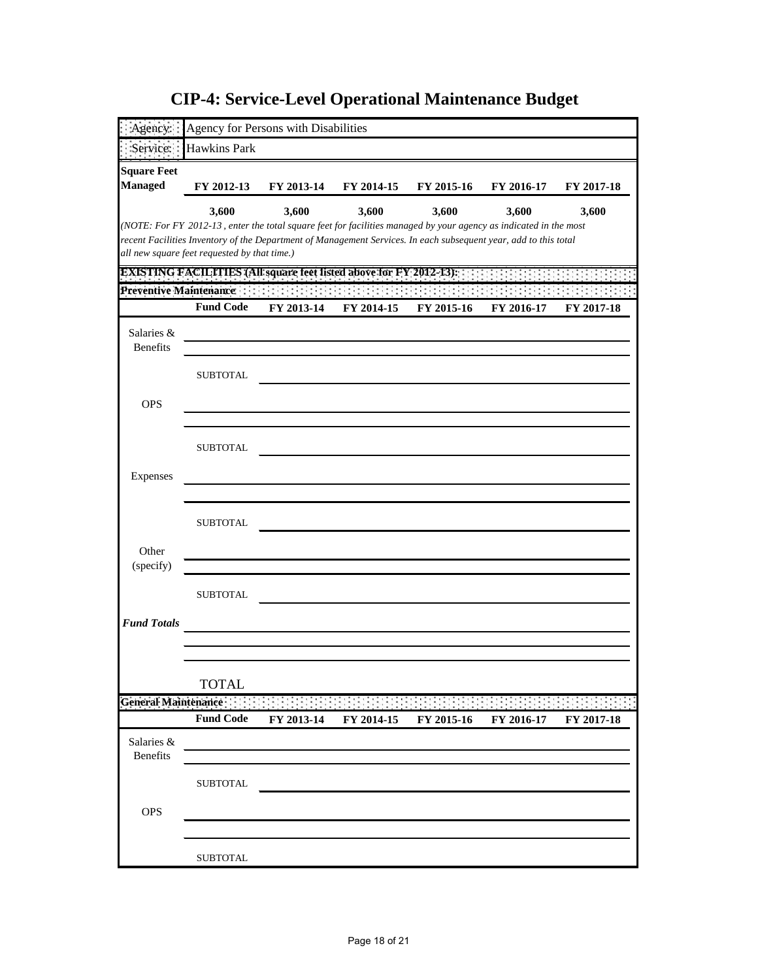|                                      |                                              | Agency for Persons with Disabilities                                                                                       |            |            |            |            |
|--------------------------------------|----------------------------------------------|----------------------------------------------------------------------------------------------------------------------------|------------|------------|------------|------------|
| Service:                             | <b>Hawkins Park</b>                          |                                                                                                                            |            |            |            |            |
|                                      |                                              |                                                                                                                            |            |            |            |            |
| <b>Square Feet</b><br><b>Managed</b> | FY 2012-13                                   | FY 2013-14                                                                                                                 | FY 2014-15 | FY 2015-16 | FY 2016-17 | FY 2017-18 |
|                                      |                                              |                                                                                                                            |            |            |            |            |
|                                      | 3,600                                        | 3,600<br>(NOTE: For FY 2012-13, enter the total square feet for facilities managed by your agency as indicated in the most | 3,600      | 3,600      | 3,600      | 3,600      |
|                                      |                                              | recent Facilities Inventory of the Department of Management Services. In each subsequent year, add to this total           |            |            |            |            |
|                                      | all new square feet requested by that time.) |                                                                                                                            |            |            |            |            |
|                                      |                                              | <b>EXISTING FACILITIES (All square feet listed above for FY 2012-13):</b>                                                  |            |            |            |            |
| Preventive Maintenance               |                                              |                                                                                                                            |            |            |            |            |
|                                      | <b>Fund Code</b>                             | FY 2013-14                                                                                                                 | FY 2014-15 | FY 2015-16 | FY 2016-17 | FY 2017-18 |
| Salaries &                           |                                              |                                                                                                                            |            |            |            |            |
| <b>Benefits</b>                      |                                              |                                                                                                                            |            |            |            |            |
|                                      | SUBTOTAL                                     |                                                                                                                            |            |            |            |            |
|                                      |                                              |                                                                                                                            |            |            |            |            |
| <b>OPS</b>                           |                                              |                                                                                                                            |            |            |            |            |
|                                      |                                              |                                                                                                                            |            |            |            |            |
|                                      | SUBTOTAL                                     |                                                                                                                            |            |            |            |            |
| Expenses                             |                                              |                                                                                                                            |            |            |            |            |
|                                      |                                              |                                                                                                                            |            |            |            |            |
|                                      |                                              |                                                                                                                            |            |            |            |            |
|                                      | <b>SUBTOTAL</b>                              |                                                                                                                            |            |            |            |            |
| Other                                |                                              |                                                                                                                            |            |            |            |            |
| (specify)                            |                                              |                                                                                                                            |            |            |            |            |
|                                      | <b>SUBTOTAL</b>                              |                                                                                                                            |            |            |            |            |
|                                      |                                              |                                                                                                                            |            |            |            |            |
| <b>Fund Totals</b>                   |                                              |                                                                                                                            |            |            |            |            |
|                                      |                                              |                                                                                                                            |            |            |            |            |
|                                      |                                              |                                                                                                                            |            |            |            |            |
|                                      | <b>TOTAL</b>                                 |                                                                                                                            |            |            |            |            |
| <b>General Maintenance:</b>          |                                              |                                                                                                                            |            |            |            |            |
|                                      | <b>Fund Code</b>                             | FY 2013-14                                                                                                                 | FY 2014-15 | FY 2015-16 | FY 2016-17 | FY 2017-18 |
| Salaries &                           |                                              |                                                                                                                            |            |            |            |            |
| <b>Benefits</b>                      |                                              |                                                                                                                            |            |            |            |            |
|                                      | <b>SUBTOTAL</b>                              |                                                                                                                            |            |            |            |            |
| <b>OPS</b>                           |                                              |                                                                                                                            |            |            |            |            |
|                                      |                                              |                                                                                                                            |            |            |            |            |
|                                      |                                              |                                                                                                                            |            |            |            |            |
|                                      | <b>SUBTOTAL</b>                              |                                                                                                                            |            |            |            |            |

**CIP-4: Service-Level Operational Maintenance Budget**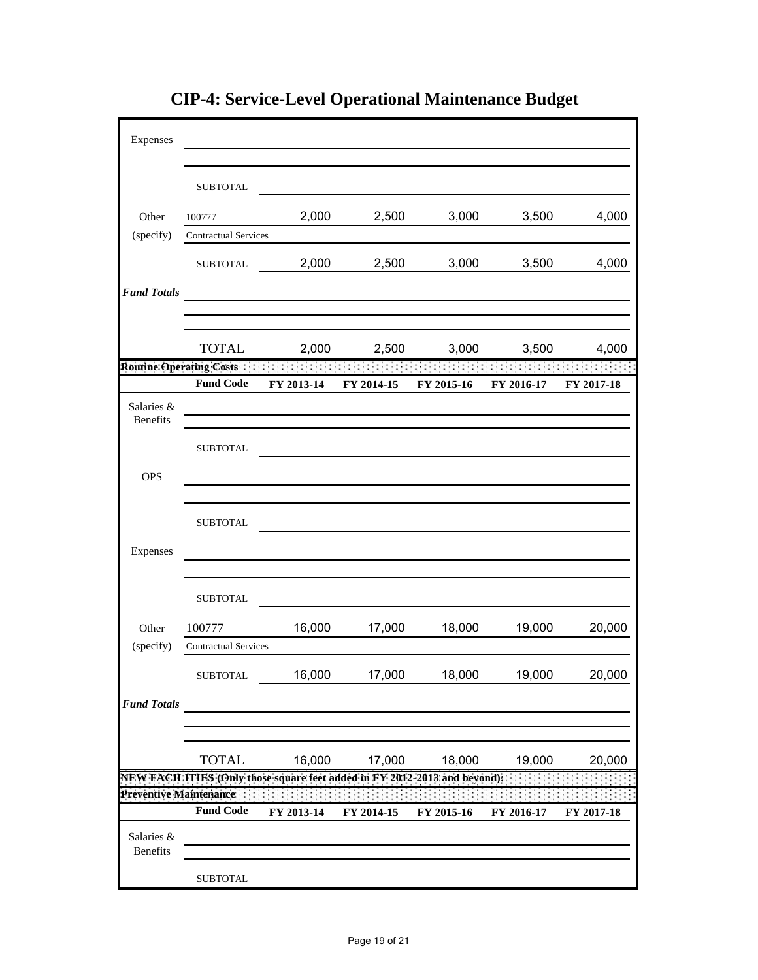| Expenses                      |                                                                           |              |            |            |            |            |
|-------------------------------|---------------------------------------------------------------------------|--------------|------------|------------|------------|------------|
|                               |                                                                           |              |            |            |            |            |
|                               | <b>SUBTOTAL</b>                                                           |              |            |            |            |            |
| Other                         | 100777                                                                    | 2,000        | 2,500      | 3,000      | 3,500      | 4,000      |
| (specify)                     | <b>Contractual Services</b>                                               |              |            |            |            |            |
|                               | <b>SUBTOTAL</b>                                                           | 2,000        | 2,500      | 3,000      | 3,500      | 4,000      |
| <b>Fund Totals</b>            |                                                                           |              |            |            |            |            |
|                               |                                                                           |              |            |            |            |            |
|                               |                                                                           |              |            |            |            |            |
|                               | <b>TOTAL</b>                                                              | 2,000        | 2,500      | 3,000      | 3,500      | 4,000      |
|                               | Routine Operating Costs                                                   | $\mathbf{1}$ |            |            |            |            |
|                               | <b>Fund Code</b>                                                          | FY 2013-14   | FY 2014-15 | FY 2015-16 | FY 2016-17 | FY 2017-18 |
| Salaries &<br><b>Benefits</b> |                                                                           |              |            |            |            |            |
|                               | <b>SUBTOTAL</b>                                                           |              |            |            |            |            |
|                               |                                                                           |              |            |            |            |            |
| <b>OPS</b>                    |                                                                           |              |            |            |            |            |
|                               | <b>SUBTOTAL</b>                                                           |              |            |            |            |            |
| Expenses                      |                                                                           |              |            |            |            |            |
|                               |                                                                           |              |            |            |            |            |
|                               |                                                                           |              |            |            |            |            |
|                               | <b>SUBTOTAL</b>                                                           |              |            |            |            |            |
| Other                         | 100777                                                                    | 16,000       | 17,000     | 18,000     | 19,000     | 20,000     |
| (specify)                     | <b>Contractual Services</b>                                               |              |            |            |            |            |
|                               | ${\tt SUBTOTAL}$                                                          | 16,000       | 17,000     | 18,000     | 19,000     | 20,000     |
| <b>Fund Totals</b>            |                                                                           |              |            |            |            |            |
|                               |                                                                           |              |            |            |            |            |
|                               |                                                                           |              |            |            |            |            |
|                               | <b>TOTAL</b>                                                              | 16,000       | 17,000     | 18,000     | 19,000     | 20,000     |
|                               | NEW FACILITIES (Only those square feet added in FY 2012-2013 and beyond); |              |            |            |            |            |
|                               | Preventive Maintenance<br><b>Fund Code</b>                                | FY 2013-14   | FY 2014-15 | FY 2015-16 | FY 2016-17 | FY 2017-18 |
|                               |                                                                           |              |            |            |            |            |
| Salaries &<br>Benefits        |                                                                           |              |            |            |            |            |
|                               | <b>SUBTOTAL</b>                                                           |              |            |            |            |            |

**CIP-4: Service-Level Operational Maintenance Budget**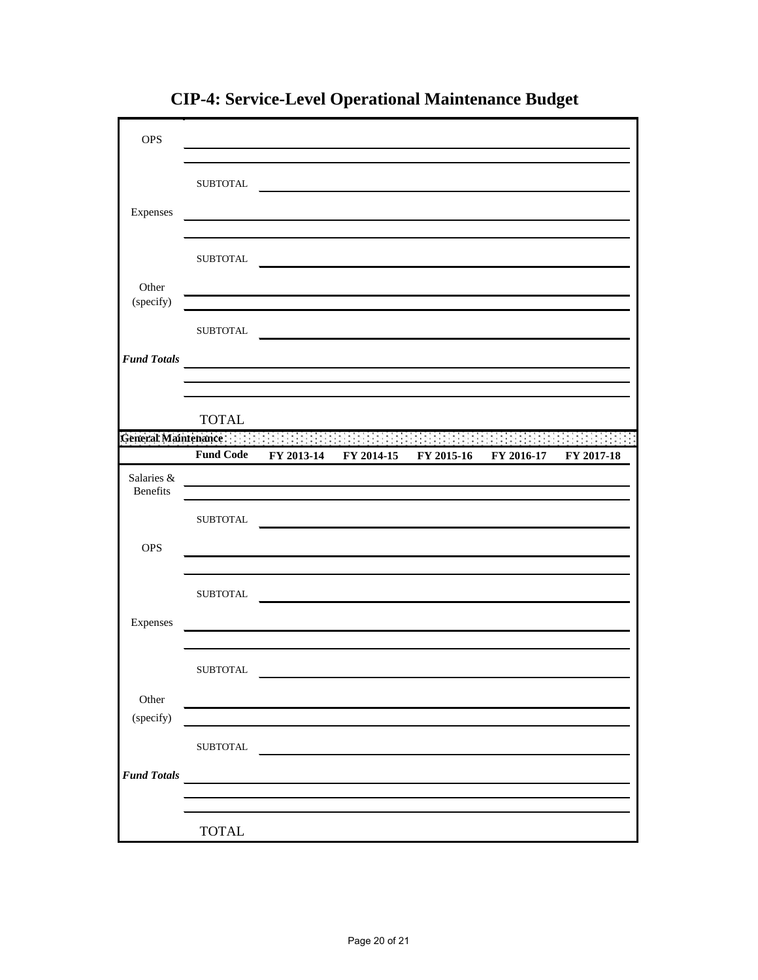| <b>OPS</b>         |                     |                                                                                                                      |                       |            |            |
|--------------------|---------------------|----------------------------------------------------------------------------------------------------------------------|-----------------------|------------|------------|
|                    |                     |                                                                                                                      |                       |            |            |
|                    | <b>SUBTOTAL</b>     |                                                                                                                      |                       |            |            |
|                    |                     |                                                                                                                      |                       |            |            |
| Expenses           |                     |                                                                                                                      |                       |            |            |
|                    |                     |                                                                                                                      |                       |            |            |
|                    | <b>SUBTOTAL</b>     |                                                                                                                      |                       |            |            |
|                    |                     |                                                                                                                      |                       |            |            |
| Other              |                     |                                                                                                                      |                       |            |            |
| (specify)          |                     | <u> 1980 - John Stein, Amerikaansk politiker (</u>                                                                   |                       |            |            |
|                    | <b>SUBTOTAL</b>     |                                                                                                                      |                       |            |            |
|                    |                     |                                                                                                                      |                       |            |            |
| <b>Fund Totals</b> |                     |                                                                                                                      |                       |            |            |
|                    |                     |                                                                                                                      |                       |            |            |
|                    |                     |                                                                                                                      |                       |            |            |
|                    | <b>TOTAL</b>        |                                                                                                                      |                       |            |            |
|                    | General Maintenance |                                                                                                                      |                       |            |            |
|                    | <b>Fund Code</b>    | FY 2013-14                                                                                                           | FY 2014-15 FY 2015-16 | FY 2016-17 | FY 2017-18 |
| Salaries &         |                     |                                                                                                                      |                       |            |            |
| Benefits           |                     | <u> 1989 - Johann Stein, marwolaethau a bhann an t-Amhain an t-Amhain an t-Amhain an t-Amhain an t-Amhain an t-A</u> |                       |            |            |
|                    |                     |                                                                                                                      |                       |            |            |
|                    | <b>SUBTOTAL</b>     |                                                                                                                      |                       |            |            |
| <b>OPS</b>         |                     |                                                                                                                      |                       |            |            |
|                    |                     |                                                                                                                      |                       |            |            |
|                    |                     |                                                                                                                      |                       |            |            |
|                    | ${\tt SUBTOTAL}$    |                                                                                                                      |                       |            |            |
| Expenses           |                     |                                                                                                                      |                       |            |            |
|                    |                     | <u> 1980 - Johann Barbara, martxa alemaniar a</u>                                                                    |                       |            |            |
|                    |                     |                                                                                                                      |                       |            |            |
|                    | SUBTOTAL            |                                                                                                                      |                       |            |            |
|                    |                     |                                                                                                                      |                       |            |            |
| Other              |                     |                                                                                                                      |                       |            |            |
| (specify)          |                     |                                                                                                                      |                       |            |            |
|                    |                     |                                                                                                                      |                       |            |            |
|                    | ${\tt SUBTOTAL}$    |                                                                                                                      |                       |            |            |
| <b>Fund Totals</b> |                     |                                                                                                                      |                       |            |            |
|                    |                     |                                                                                                                      |                       |            |            |
|                    |                     |                                                                                                                      |                       |            |            |
|                    | <b>TOTAL</b>        |                                                                                                                      |                       |            |            |

**CIP-4: Service-Level Operational Maintenance Budget**